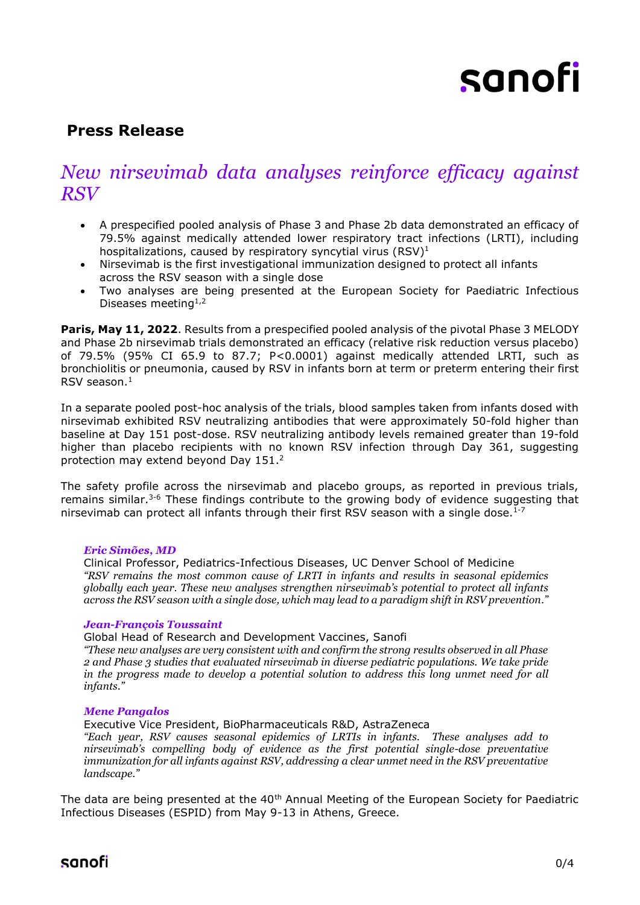# sanofi

## **Press Release**

# *New nirsevimab data analyses reinforce efficacy against RSV*

- A prespecified pooled analysis of Phase 3 and Phase 2b data demonstrated an efficacy of 79.5% against medically attended lower respiratory tract infections (LRTI), including hospitalizations, caused by respiratory syncytial virus  $(RSV)^1$
- Nirsevimab is the first investigational immunization designed to protect all infants across the RSV season with a single dose
- Two analyses are being presented at the European Society for Paediatric Infectious Diseases meeting<sup>1,2</sup>

Paris, May 11, 2022. Results from a prespecified pooled analysis of the pivotal Phase 3 MELODY and Phase 2b nirsevimab trials demonstrated an efficacy (relative risk reduction versus placebo) of 79.5% (95% CI 65.9 to 87.7; P<0.0001) against medically attended LRTI, such as bronchiolitis or pneumonia, caused by RSV in infants born at term or preterm entering their first RSV season. 1

In a separate pooled post-hoc analysis of the trials, blood samples taken from infants dosed with nirsevimab exhibited RSV neutralizing antibodies that were approximately 50-fold higher than baseline at Day 151 post-dose. RSV neutralizing antibody levels remained greater than 19-fold higher than placebo recipients with no known RSV infection through Day 361, suggesting protection may extend beyond Day 151.<sup>2</sup>

The safety profile across the nirsevimab and placebo groups, as reported in previous trials, remains similar.<sup>3-6</sup> These findings contribute to the growing body of evidence suggesting that nirsevimab can protect all infants through their first RSV season with a single dose.<sup>1-7</sup>

## *Eric Simões, MD*

Clinical Professor, Pediatrics-Infectious Diseases, UC Denver School of Medicine *"RSV remains the most common cause of LRTI in infants and results in seasonal epidemics globally each year. These new analyses strengthen nirsevimab's potential to protect all infants across the RSV season with a single dose, which may lead to a paradigm shift in RSV prevention."*

## *Jean-François Toussaint*

Global Head of Research and Development Vaccines, Sanofi

*"These new analyses are very consistent with and confirm the strong results observed in all Phase 2 and Phase 3 studies that evaluated nirsevimab in diverse pediatric populations. We take pride in the progress made to develop a potential solution to address this long unmet need for all infants."*

## *Mene Pangalos*

Executive Vice President, BioPharmaceuticals R&D, AstraZeneca

*"Each year, RSV causes seasonal epidemics of LRTIs in infants. These analyses add to nirsevimab's compelling body of evidence as the first potential single-dose preventative immunization for all infants against RSV, addressing a clear unmet need in the RSV preventative landscape."* 

The data are being presented at the 40<sup>th</sup> Annual Meeting of the European Society for Paediatric Infectious Diseases (ESPID) from May 9-13 in Athens, Greece.

sanofi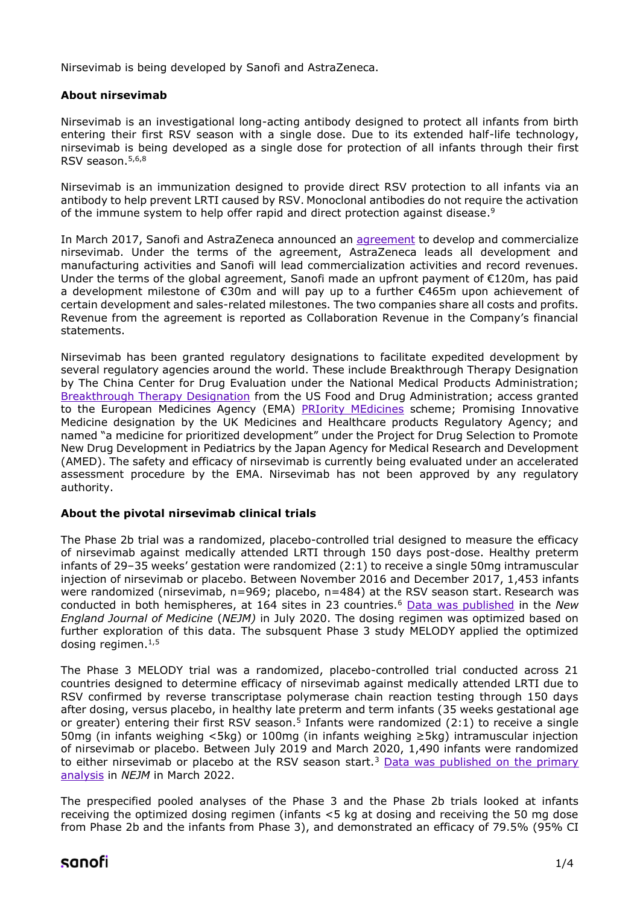Nirsevimab is being developed by Sanofi and AstraZeneca.

## **About nirsevimab**

Nirsevimab is an investigational long-acting antibody designed to protect all infants from birth entering their first RSV season with a single dose. Due to its extended half-life technology, nirsevimab is being developed as a single dose for protection of all infants through their first RSV season. 5,6,8

Nirsevimab is an immunization designed to provide direct RSV protection to all infants via an antibody to help prevent LRTI caused by RSV. Monoclonal antibodies do not require the activation of the immune system to help offer rapid and direct protection against disease.<sup>9</sup>

In March 2017, Sanofi and AstraZeneca announced an [agreement](https://www.sanofi.com/en/media-room/press-releases/2017/2017-03-03-08-00-00) to develop and commercialize nirsevimab. Under the terms of the agreement, AstraZeneca leads all development and manufacturing activities and Sanofi will lead commercialization activities and record revenues. Under the terms of the global agreement, Sanofi made an upfront payment of €120m, has paid a development milestone of €30m and will pay up to a further €465m upon achievement of certain development and sales-related milestones. The two companies share all costs and profits. Revenue from the agreement is reported as Collaboration Revenue in the Company's financial statements.

Nirsevimab has been granted regulatory designations to facilitate expedited development by several regulatory agencies around the world. These include Breakthrough Therapy Designation by The China Center for Drug Evaluation under the National Medical Products Administration; [Breakthrough Therapy Designation](https://www.astrazeneca.com/media-centre/press-releases/2019/us-fda-grants-breakthrough-therapy-designation-for-potential-next-generation-rsv-medicine-medi8897.html) from the US Food and Drug Administration; access granted to the European Medicines Agency (EMA) [PRIority MEdicines](https://www.astrazeneca.com/media-centre/press-releases/2019/ema-grants-prime-eligibility-for-potential-next-generation-rsv-medicine-medi8897-05022019.html) scheme; Promising Innovative Medicine designation by the UK Medicines and Healthcare products Regulatory Agency; and named "a medicine for prioritized development" under the Project for Drug Selection to Promote New Drug Development in Pediatrics by the Japan Agency for Medical Research and Development (AMED). The safety and efficacy of nirsevimab is currently being evaluated under an accelerated assessment procedure by the EMA. Nirsevimab has not been approved by any regulatory authority.

## **About the pivotal nirsevimab clinical trials**

The Phase 2b trial was a randomized, placebo-controlled trial designed to measure the efficacy of nirsevimab against medically attended LRTI through 150 days post-dose. Healthy preterm infants of 29–35 weeks' gestation were randomized (2:1) to receive a single 50mg intramuscular injection of nirsevimab or placebo. Between November 2016 and December 2017, 1,453 infants were randomized (nirsevimab, n=969; placebo, n=484) at the RSV season start. Research was conducted in both hemispheres, at 164 sites in 23 countries.<sup>6</sup> [Data was published](https://www.sanofi.com/en/media-room/press-releases/2020/2020-07-30-08-15-00) in the *New England Journal of Medicine* (*NEJM)* in July 2020. The dosing regimen was optimized based on further exploration of this data. The subsquent Phase 3 study MELODY applied the optimized dosing regimen.<sup>1,5</sup>

The Phase 3 MELODY trial was a randomized, placebo-controlled trial conducted across 21 countries designed to determine efficacy of nirsevimab against medically attended LRTI due to RSV confirmed by reverse transcriptase polymerase chain reaction testing through 150 days after dosing, versus placebo, in healthy late preterm and term infants (35 weeks gestational age or greater) entering their first RSV season.<sup>5</sup> Infants were randomized (2:1) to receive a single 50mg (in infants weighing <5kg) or 100mg (in infants weighing ≥5kg) intramuscular injection of nirsevimab or placebo. Between July 2019 and March 2020, 1,490 infants were randomized to either nirsevimab or placebo at the RSV season start.<sup>3</sup> Data was published on the primary [analysis](https://www.sanofi.com/en/media-room/press-releases/2022/2022-03-03-08-00-00-2395880) in *NEJM* in March 2022.

The prespecified pooled analyses of the Phase 3 and the Phase 2b trials looked at infants receiving the optimized dosing regimen (infants <5 kg at dosing and receiving the 50 mg dose from Phase 2b and the infants from Phase 3), and demonstrated an efficacy of 79.5% (95% CI

## sanofi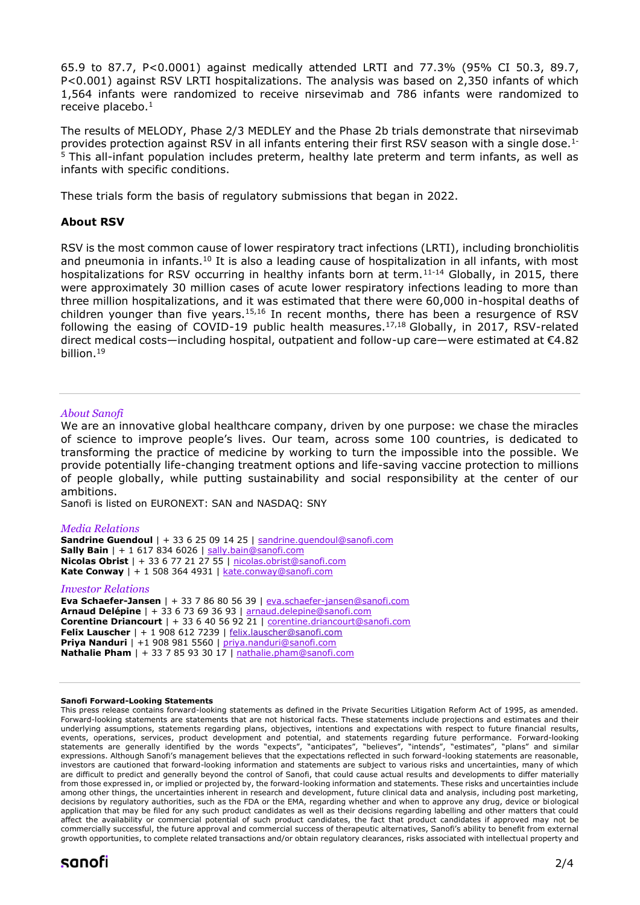65.9 to 87.7, P<0.0001) against medically attended LRTI and 77.3% (95% CI 50.3, 89.7, P<0.001) against RSV LRTI hospitalizations. The analysis was based on 2,350 infants of which 1,564 infants were randomized to receive nirsevimab and 786 infants were randomized to receive placebo.<sup>1</sup>

The results of MELODY, Phase 2/3 MEDLEY and the Phase 2b trials demonstrate that nirsevimab provides protection against RSV in all infants entering their first RSV season with a single dose.1- <sup>5</sup> This all-infant population includes preterm, healthy late preterm and term infants, as well as infants with specific conditions.

These trials form the basis of regulatory submissions that began in 2022.

## **About RSV**

RSV is the most common cause of lower respiratory tract infections (LRTI), including bronchiolitis and pneumonia in infants.<sup>10</sup> It is also a leading cause of hospitalization in all infants, with most hospitalizations for RSV occurring in healthy infants born at term.<sup>11-14</sup> Globally, in 2015, there were approximately 30 million cases of acute lower respiratory infections leading to more than three million hospitalizations, and it was estimated that there were 60,000 in-hospital deaths of children younger than five years.<sup>15,16</sup> In recent months, there has been a resurgence of RSV following the easing of COVID-19 public health measures.<sup>17,18</sup> Globally, in 2017, RSV-related direct medical costs—including hospital, outpatient and follow-up care—were estimated at €4.82 billion.<sup>19</sup>

## *About Sanofi*

We are an innovative global healthcare company, driven by one purpose: we chase the miracles of science to improve people's lives. Our team, across some 100 countries, is dedicated to transforming the practice of medicine by working to turn the impossible into the possible. We provide potentially life-changing treatment options and life-saving vaccine protection to millions of people globally, while putting sustainability and social responsibility at the center of our ambitions.

Sanofi is listed on EURONEXT: SAN and NASDAQ: SNY

## *Media Relations*

**Sandrine Guendoul** | + 33 6 25 09 14 25 | [sandrine.guendoul@sanofi.com](mailto:sandrine.guendoul@sanofi.com) **Sally Bain** | + 1 617 834 6026 | [sally.bain@sanofi.com](mailto:sally.bain@sanofi.com) **Nicolas Obrist** | + 33 6 77 21 27 55 | [nicolas.obrist@sanofi.com](mailto:nicolas.obrist@sanofi.com) **Kate Conway** | + 1 508 364 4931 | kate.conway@sanofi.com

### *Investor Relations*

**Eva Schaefer-Jansen** | + 33 7 86 80 56 39 | [eva.schaefer-jansen@sanofi.com](mailto:eva.schaefer-jansen@sanofi.com) **Arnaud Delépine** | + 33 6 73 69 36 93 | [arnaud.delepine@sanofi.com](mailto:arnaud.delepine@sanofi.com) **Corentine Driancourt** | + 33 6 40 56 92 21 | [corentine.driancourt@sanofi.com](mailto:corentine.driancourt@sanofi.com) **Felix Lauscher** | + 1 908 612 7239 | [felix.lauscher@sanofi.com](mailto:felix.lauscher@sanofi.com) **Priya Nanduri** | +1 908 981 5560 | [priya.nanduri@sanofi.com](mailto:priya.nanduri@sanofi.com) **Nathalie Pham** | + 33 7 85 93 30 17 | [nathalie.pham@sanofi.com](mailto:nathalie.pham@sanofi.com)

#### **Sanofi Forward-Looking Statements**

This press release contains forward-looking statements as defined in the Private Securities Litigation Reform Act of 1995, as amended. Forward-looking statements are statements that are not historical facts. These statements include projections and estimates and their underlying assumptions, statements regarding plans, objectives, intentions and expectations with respect to future financial results, events, operations, services, product development and potential, and statements regarding future performance. Forward-looking statements are generally identified by the words "expects", "anticipates", "believes", "intends", "estimates", "plans" and similar expressions. Although Sanofi's management believes that the expectations reflected in such forward-looking statements are reasonable, investors are cautioned that forward-looking information and statements are subject to various risks and uncertainties, many of which are difficult to predict and generally beyond the control of Sanofi, that could cause actual results and developments to differ materially from those expressed in, or implied or projected by, the forward-looking information and statements. These risks and uncertainties include among other things, the uncertainties inherent in research and development, future clinical data and analysis, including post marketing, decisions by regulatory authorities, such as the FDA or the EMA, regarding whether and when to approve any drug, device or biological application that may be filed for any such product candidates as well as their decisions regarding labelling and other matters that could affect the availability or commercial potential of such product candidates, the fact that product candidates if approved may not be commercially successful, the future approval and commercial success of therapeutic alternatives, Sanofi's ability to benefit from external growth opportunities, to complete related transactions and/or obtain regulatory clearances, risks associated with intellectual property and